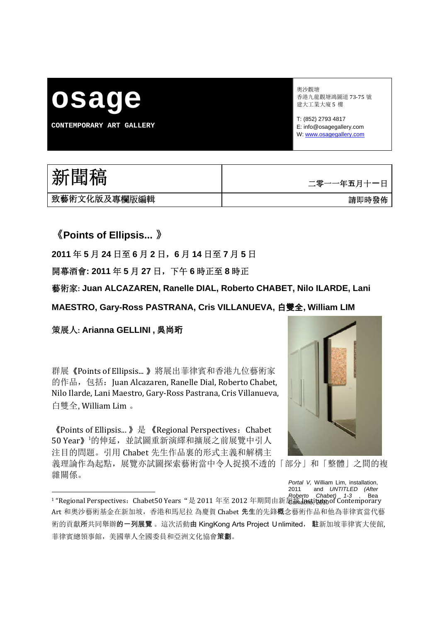# **osage**

**CONTEMPORARY ART GALLERY** 

奧沙觀塘 香港九龍觀塘鴻圖道 73‐75 號 建大工業大廈 5 樓

T: (852) 2793 4817 E: info@osagegallery.com W: www.osagegallery.com

| 新聞稿           | 二零一一年五月十一日 |
|---------------|------------|
| ,致藝術文化版及專欄版編輯 | 請即時發佈      |

《**Points of Ellipsis...** 》

**2011** 年 **5** 月 **24** 日至 **6** 月 **2** 日,**6** 月 **14** 日至 **7** 月 **5** 日

開幕酒會**: 2011** 年 **5** 月 **27** 日,下午 **6** 時正至 **8** 時正

藝術家**: Juan ALCAZAREN, Ranelle DIAL, Roberto CHABET, Nilo ILARDE, Lani** 

**MAESTRO, Gary-Ross PASTRANA, Cris VILLANUEVA,** 白雙全**, William LIM**

策展人**: Arianna GELLINI ,** 吳尚珩

群展《Points of Ellipsis... 》將展出菲律賓和香港九位藝術家 的作品, 包括: Juan Alcazaren, Ranelle Dial, Roberto Chabet, Nilo Ilarde, Lani Maestro, Gary‐Ross Pastrana, Cris Villanueva, 白雙全, William Lim 。

《Points of Ellipsis... 》是 《Regional Perspectives:Chabet 50 Year》 的伸延, 並試圖重新演繹和擴展之前展覽中引人 注目的問題。引用 Chabet 先生作品裏的形式主義和解構主

義理論作為起點,展覽亦試圖探索藝術當中令人捉摸不透的「部分」和「整體」之間的複 雜關係。



*Portal V,* William Lim, installation, 2011 and *UNTITLED (After* 

<sup>1 &</sup>quot;Regional Perspectives:Chabet50 Years"是 2011 年至 2012 年期間由新加坡 Institute of Contemporary *Roberto Chabet) 1-3* , Bea Art 和奧沙藝術基金在新加坡,香港和馬尼拉 為慶賀 Chabet 先生的先鋒概念藝術作品和他為菲律賓當代藝 術的貢獻所共同舉辦的一列展覽 。這次活動由 KingKong Arts Project Unlimited, 駐新加坡菲律賓大使館, 菲律賓總領事館,美國華人全國委員和亞洲文化協會策劃。 Camacho, 2010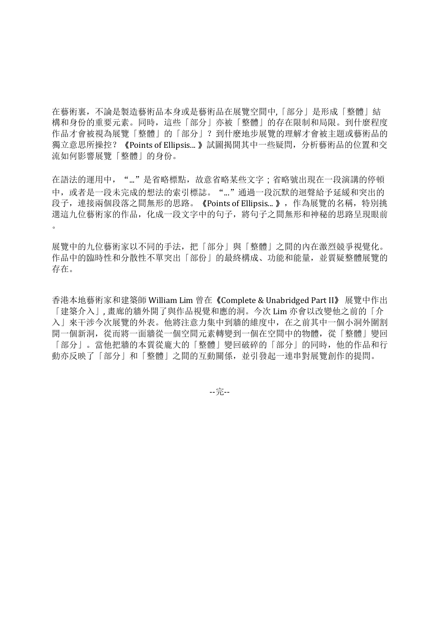在藝術裏,不論是製造藝術品本身或是藝術品在展覽空間中,「部分」是形成「整體」結 構和身份的重要元素。同時,這些「部分」亦被「整體」的存在限制和局限。到什麼程度 作品才會被視為展覽「整體」的「部分」?到什麽地步展覽的理解才會被主題或藝術品的 獨立意思所操控?《Points of Ellipsis... 》試圖揭開其中一些疑問,分析藝術品的位置和交 流如何影響展覽「整體」的身份。

在語法的運用中,"..."是省略標點,故意省略某些文字;省略號出現在一段演講的停頓 中,或者是一段未完成的想法的索引標誌。"..."通過一段沉默的迴聲給予延緩和突出的 段子, 連接兩個段落之間無形的思路。《Points of Ellipsis... 》, 作為展覽的名稱, 特別挑 選這九位藝術家的作品,化成一段文字中的句子,將句子之間無形和神秘的思路呈現眼前  $\circ$ 

展覽中的九位藝術家以不同的手法,把「部分」與「整體」之間的內在激烈競爭視覺化。 作品中的臨時性和分散性不單突出「部份」的最終構成、功能和能量,並質疑整體展覽的 存在。

香港本地藝術家和建築師 William Lim 曾在《Complete & Unabridged Part II》 展覽中作出 「建築介入」, 畫廊的牆外開了與作品視覺和應的洞。今次 Lim 亦會以改變他之前的「介 入」來干涉今次展覽的外表。他將注意力集中到牆的維度中,在之前其中一個小洞外圍割 開一個新洞,從而將一面牆從一個空間元素轉變到一個在空間中的物體,從「整體」變回 「部分」。當他把牆的本質從龐大的「整體」變回破碎的「部分」的同時,他的作品和行 動亦反映了「部分」和「整體」之間的互動關係,並引發起一連串對展覽創作的提問。

‐‐完‐‐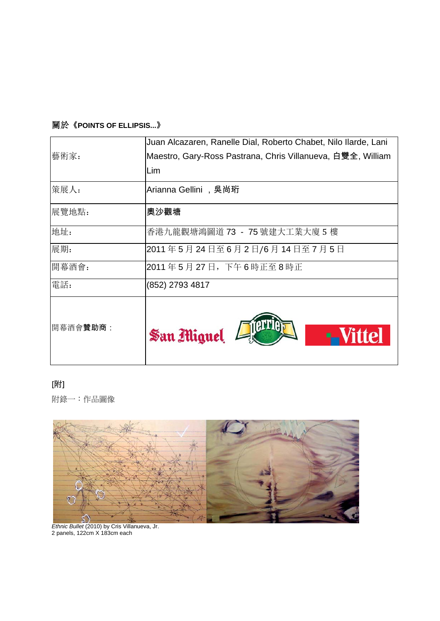## 關於《**POINTS OF ELLIPSIS...**》

|          | Juan Alcazaren, Ranelle Dial, Roberto Chabet, Nilo Ilarde, Lani |
|----------|-----------------------------------------------------------------|
| 藝術家:     | Maestro, Gary-Ross Pastrana, Chris Villanueva, 白雙全, William     |
|          | Lim                                                             |
| 策展人:     | Arianna Gellini ,吳尚珩                                            |
| 展覽地點:    | 奧沙觀塘                                                            |
| 地址:      | 香港九龍觀塘鴻圖道 73 – 75 號建大工業大廈 5 樓                                   |
| 展期:      | 2011年5月24日至6月2日/6月14日至7月5日                                      |
| 開幕酒會:    | 2011年5月27日,下午6時正至8時正                                            |
| 電話:      | (852) 2793 4817                                                 |
| 開幕酒會贊助商: | San Miguel<br>-Vittel                                           |

## [附]

附錄一:作品圖像



*Ethnic Bullet* (2010) by Cris Villanueva, Jr. 2 panels, 122cm X 183cm each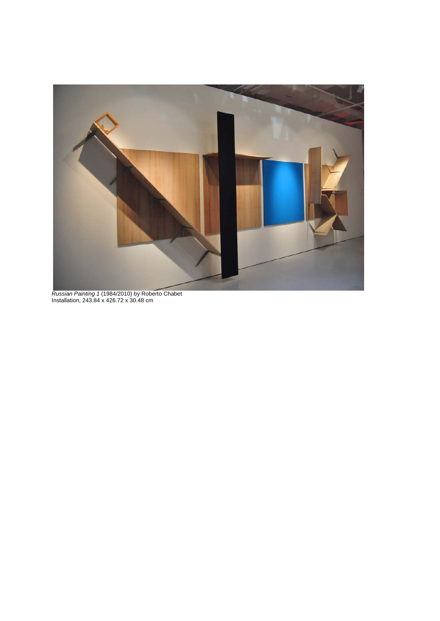

*Russian Painting 1* (1984/2010) by Roberto Chabet Installation, 243.84 x 426.72 x 30.48 cm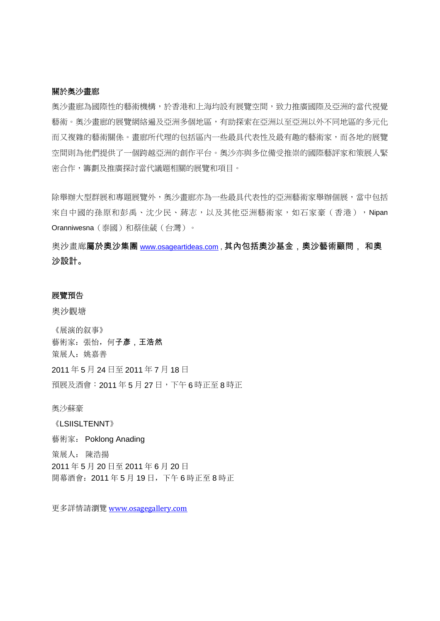#### 關於奧沙畫廊

奧沙畫廊為國際性的藝術機構,於香港和上海均設有展覽空間,致力推廣國際及亞洲的當代視覺 藝術。奧沙畫廊的展覽網絡遍及亞洲多個地區,有助探索在亞洲以至亞洲以外不同地區的多元化 而又複雜的藝術關係。畫廊所代理的包括區內一些最具代表性及最有趣的藝術家,而各地的展覽 空間則為他們提供了一個跨越亞洲的創作平台。奧沙亦與多位備受推崇的國際藝評家和策展人緊 密合作,籌劃及推廣探討當代議題相關的展覽和項目。

除舉辦大型群展和專題展覽外,奧沙畫廊亦為一些最具代表性的亞洲藝術家舉辦個展,當中包括 來自中國的孫原和彭禹、沈少民、蔣志,以及其他亞洲藝術家,如石家豪(香港),Nipan Oranniwesna(泰國)和蔡佳葳(台灣)。

奧沙畫廊屬於奧沙集團 www.osageartideas.com, 其內包括奧沙基金, 奧沙藝術顧問, 和奧 沙設計。

#### 展覽預告

奧沙觀塘

《展演的叙事》 藝術家:張怡,何子彥,王浩然 策展人:姚嘉善 2011 年 5 月 24 日至 2011 年 7 月 18 日 預展及酒會:2011 年 5 月 27 日,下午 6 時正至 8 時正

奧沙蘇豪

《LSIISLTENNT》 藝術家: Poklong Anading 策展人: 陳浩揚 2011 年 5 月 20 日至 2011 年 6 月 20 日 開幕酒會:2011 年 5 月 19 日,下午 6 時正至 8 時正

更多詳情請瀏覽 www.osagegallery.com